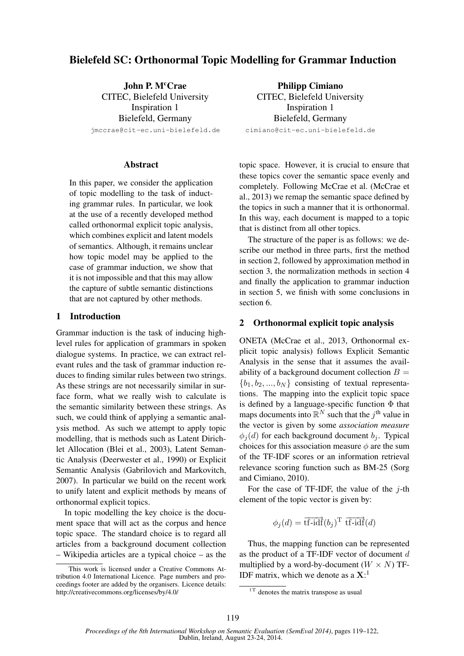# Bielefeld SC: Orthonormal Topic Modelling for Grammar Induction

John P. McCrae CITEC, Bielefeld University Inspiration 1 Bielefeld, Germany

jmccrae@cit-ec.uni-bielefeld.de

## **Abstract**

In this paper, we consider the application of topic modelling to the task of inducting grammar rules. In particular, we look at the use of a recently developed method called orthonormal explicit topic analysis, which combines explicit and latent models of semantics. Although, it remains unclear how topic model may be applied to the case of grammar induction, we show that it is not impossible and that this may allow the capture of subtle semantic distinctions that are not captured by other methods.

## 1 Introduction

Grammar induction is the task of inducing highlevel rules for application of grammars in spoken dialogue systems. In practice, we can extract relevant rules and the task of grammar induction reduces to finding similar rules between two strings. As these strings are not necessarily similar in surface form, what we really wish to calculate is the semantic similarity between these strings. As such, we could think of applying a semantic analysis method. As such we attempt to apply topic modelling, that is methods such as Latent Dirichlet Allocation (Blei et al., 2003), Latent Semantic Analysis (Deerwester et al., 1990) or Explicit Semantic Analysis (Gabrilovich and Markovitch, 2007). In particular we build on the recent work to unify latent and explicit methods by means of orthonormal explicit topics.

In topic modelling the key choice is the document space that will act as the corpus and hence topic space. The standard choice is to regard all articles from a background document collection – Wikipedia articles are a typical choice – as the

Philipp Cimiano CITEC, Bielefeld University Inspiration 1 Bielefeld, Germany cimiano@cit-ec.uni-bielefeld.de

topic space. However, it is crucial to ensure that these topics cover the semantic space evenly and completely. Following McCrae et al. (McCrae et al., 2013) we remap the semantic space defined by the topics in such a manner that it is orthonormal. In this way, each document is mapped to a topic that is distinct from all other topics.

The structure of the paper is as follows: we describe our method in three parts, first the method in section 2, followed by approximation method in section 3, the normalization methods in section 4 and finally the application to grammar induction in section 5, we finish with some conclusions in section 6.

## 2 Orthonormal explicit topic analysis

ONETA (McCrae et al., 2013, Orthonormal explicit topic analysis) follows Explicit Semantic Analysis in the sense that it assumes the availability of a background document collection  $B =$  ${b_1, b_2, ..., b_N}$  consisting of textual representations. The mapping into the explicit topic space is defined by a language-specific function  $\Phi$  that maps documents into  $\mathbb{R}^N$  such that the j<sup>th</sup> value in the vector is given by some *association measure*  $\phi_i(d)$  for each background document  $b_i$ . Typical choices for this association measure  $\phi$  are the sum of the TF-IDF scores or an information retrieval relevance scoring function such as BM-25 (Sorg and Cimiano, 2010).

For the case of TF-IDF, the value of the  $j$ -th element of the topic vector is given by:

 $\phi_j(d) = \overrightarrow{\text{tf-idf}}(b_j)^{\text{T}} \overrightarrow{\text{tf-idf}}(d)$ 

Thus, the mapping function can be represented as the product of a TF-IDF vector of document d multiplied by a word-by-document  $(W \times N)$  TF-IDF matrix, which we denote as a  $X$ :<sup>1</sup>

This work is licensed under a Creative Commons Attribution 4.0 International Licence. Page numbers and proceedings footer are added by the organisers. Licence details: http://creativecommons.org/licenses/by/4.0/

 $1<sup>T</sup>$  denotes the matrix transpose as usual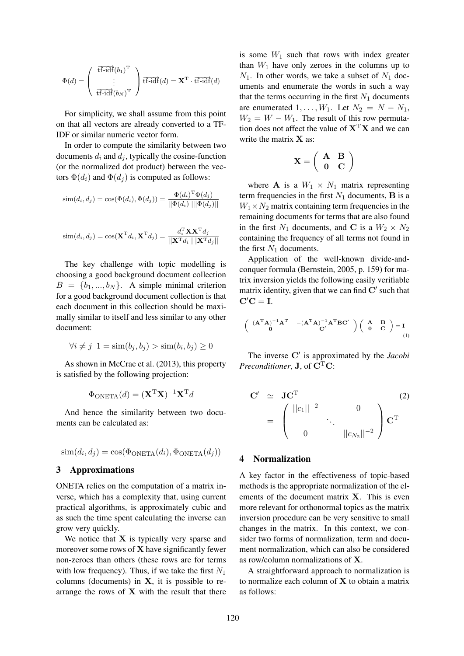$$
\Phi(d) = \left(\begin{array}{c} \overrightarrow{\mathrm{tf-idf}}(b_1)^{\mathrm{T}} \\ \vdots \\ \overrightarrow{\mathrm{tf-idf}}(b_N)^{\mathrm{T}} \end{array}\right) \overrightarrow{\mathrm{tf-idf}}(d) = \mathbf{X}^{\mathrm{T}} \cdot \overrightarrow{\mathrm{tf-idf}}(d)
$$

For simplicity, we shall assume from this point on that all vectors are already converted to a TF-IDF or similar numeric vector form.

In order to compute the similarity between two documents  $d_i$  and  $d_j$ , typically the cosine-function (or the normalized dot product) between the vectors  $\Phi(d_i)$  and  $\Phi(d_j)$  is computed as follows:

$$
sim(d_i, d_j) = cos(\Phi(d_i), \Phi(d_j)) = \frac{\Phi(d_i)^{\mathrm{T}} \Phi(d_j)}{||\Phi(d_i)|| ||\Phi(d_j)||}
$$

$$
\text{sim}(d_i, d_j) = \text{cos}(\mathbf{X}^{\text{T}} d_i, \mathbf{X}^{\text{T}} d_j) = \frac{d_i^{\text{T}} \mathbf{X} \mathbf{X}^{\text{T}} d_j}{||\mathbf{X}^{\text{T}} d_i|| ||\mathbf{X}^{\text{T}} d_j||}
$$

The key challenge with topic modelling is choosing a good background document collection  $B = \{b_1, ..., b_N\}$ . A simple minimal criterion for a good background document collection is that each document in this collection should be maximally similar to itself and less similar to any other document:

$$
\forall i \neq j \ 1 = \text{sim}(b_j, b_j) > \text{sim}(b_i, b_j) \ge 0
$$

As shown in McCrae et al. (2013), this property is satisfied by the following projection:

$$
\Phi_{\rm ONETA}(d) = (\mathbf{X}^{\rm T} \mathbf{X})^{-1} \mathbf{X}^{\rm T} d
$$

And hence the similarity between two documents can be calculated as:

$$
sim(d_i, d_j) = cos(\Phi_{\text{ONETA}}(d_i), \Phi_{\text{ONETA}}(d_j))
$$

#### 3 Approximations

ONETA relies on the computation of a matrix inverse, which has a complexity that, using current practical algorithms, is approximately cubic and as such the time spent calculating the inverse can grow very quickly.

We notice that  $X$  is typically very sparse and moreover some rows of  $X$  have significantly fewer non-zeroes than others (these rows are for terms with low frequency). Thus, if we take the first  $N_1$ columns (documents) in  $X$ , it is possible to rearrange the rows of  $X$  with the result that there is some  $W_1$  such that rows with index greater than  $W_1$  have only zeroes in the columns up to  $N_1$ . In other words, we take a subset of  $N_1$  documents and enumerate the words in such a way that the terms occurring in the first  $N_1$  documents are enumerated  $1, \ldots, W_1$ . Let  $N_2 = N - N_1$ ,  $W_2 = W - W_1$ . The result of this row permutation does not affect the value of  $X<sup>T</sup>X$  and we can write the matrix  $X$  as:

$$
\mathbf{X} = \left( \begin{array}{cc} \mathbf{A} & \mathbf{B} \\ \mathbf{0} & \mathbf{C} \end{array} \right)
$$

where **A** is a  $W_1 \times N_1$  matrix representing term frequencies in the first  $N_1$  documents, **B** is a  $W_1 \times N_2$  matrix containing term frequencies in the remaining documents for terms that are also found in the first  $N_1$  documents, and C is a  $W_2 \times N_2$ containing the frequency of all terms not found in the first  $N_1$  documents.

Application of the well-known divide-andconquer formula (Bernstein, 2005, p. 159) for matrix inversion yields the following easily verifiable matrix identity, given that we can find  $C'$  such that  $C'C = I.$ 

$$
\left(\begin{array}{cc} (A^{\mathrm{T}}A)^{-1}A^{\mathrm{T}} & -(A^{\mathrm{T}}A)^{-1}A^{\mathrm{T}}BC' \\ 0 & C' \end{array}\right)\left(\begin{array}{cc} A & B \\ 0 & C \end{array}\right)=I_{(1)}
$$

The inverse C' is approximated by the *Jacobi Preconditioner*, **J**, of  $C^{T}C$ :

$$
\mathbf{C}' \quad \simeq \quad \mathbf{J}\mathbf{C}^{\mathrm{T}} \\
= \begin{pmatrix} ||c_1||^{-2} & 0 & 0 \\
0 & \cdot & ||c_{N_2}||^{-2} \end{pmatrix} \mathbf{C}^{\mathrm{T}} \\
$$

## 4 Normalization

A key factor in the effectiveness of topic-based methods is the appropriate normalization of the elements of the document matrix X. This is even more relevant for orthonormal topics as the matrix inversion procedure can be very sensitive to small changes in the matrix. In this context, we consider two forms of normalization, term and document normalization, which can also be considered as row/column normalizations of X.

A straightforward approach to normalization is to normalize each column of  $X$  to obtain a matrix as follows: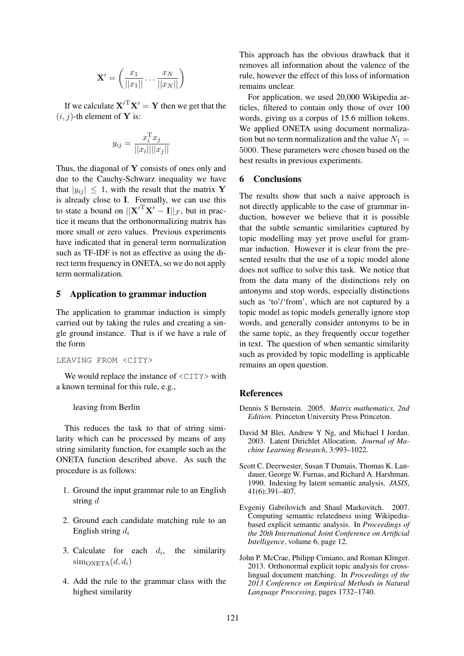$$
\mathbf{X}' = \left(\frac{x_1}{\|x_1\|} \dots \frac{x_N}{\|x_N\|}\right)
$$

If we calculate  $X^T X' = Y$  then we get that the  $(i, j)$ -th element of **Y** is:

$$
y_{ij} = \frac{x_i^{\mathrm{T}} x_j}{||x_i|| ||x_j||}
$$

Thus, the diagonal of  $Y$  consists of ones only and due to the Cauchy-Schwarz inequality we have that  $|y_{ij}| \leq 1$ , with the result that the matrix Y is already close to I. Formally, we can use this to state a bound on  $||{\bf X}'^{\rm T} {\bf X}' - {\bf I}||_{\mathcal{F}}$ , but in practice it means that the orthonormalizing matrix has more small or zero values. Previous experiments have indicated that in general term normalization such as TF-IDF is not as effective as using the direct term frequency in ONETA, so we do not apply term normalization.

## 5 Application to grammar induction

The application to grammar induction is simply carried out by taking the rules and creating a single ground instance. That is if we have a rule of the form

#### LEAVING FROM <CITY>

We would replace the instance of  $\langle \text{CITY} \rangle$  with a known terminal for this rule, e.g.,

## leaving from Berlin

This reduces the task to that of string similarity which can be processed by means of any string similarity function, for example such as the ONETA function described above. As such the procedure is as follows:

- 1. Ground the input grammar rule to an English string d
- 2. Ground each candidate matching rule to an English string  $d_i$
- 3. Calculate for each  $d_i$ , the similarity  $sim_{\text{ONETA}}(d, d_i)$
- 4. Add the rule to the grammar class with the highest similarity

This approach has the obvious drawback that it removes all information about the valence of the rule, however the effect of this loss of information remains unclear.

For application, we used 20,000 Wikipedia articles, filtered to contain only those of over 100 words, giving us a corpus of 15.6 million tokens. We applied ONETA using document normalization but no term normalization and the value  $N_1 =$ 5000. These parameters were chosen based on the best results in previous experiments.

## 6 Conclusions

The results show that such a naive approach is not directly applicable to the case of grammar induction, however we believe that it is possible that the subtle semantic similarities captured by topic modelling may yet prove useful for grammar induction. However it is clear from the presented results that the use of a topic model alone does not suffice to solve this task. We notice that from the data many of the distinctions rely on antonyms and stop words, especially distinctions such as 'to'/'from', which are not captured by a topic model as topic models generally ignore stop words, and generally consider antonyms to be in the same topic, as they frequently occur together in text. The question of when semantic similarity such as provided by topic modelling is applicable remains an open question.

## **References**

- Dennis S Bernstein. 2005. *Matrix mathematics, 2nd Edition*. Princeton University Press Princeton.
- David M Blei, Andrew Y Ng, and Michael I Jordan. 2003. Latent Dirichlet Allocation. *Journal of Machine Learning Research*, 3:993–1022.
- Scott C. Deerwester, Susan T Dumais, Thomas K. Landauer, George W. Furnas, and Richard A. Harshman. 1990. Indexing by latent semantic analysis. *JASIS*, 41(6):391–407.
- Evgeniy Gabrilovich and Shaul Markovitch. 2007. Computing semantic relatedness using Wikipediabased explicit semantic analysis. In *Proceedings of the 20th International Joint Conference on Artificial Intelligence*, volume 6, page 12.
- John P. McCrae, Philipp Cimiano, and Roman Klinger. 2013. Orthonormal explicit topic analysis for crosslingual document matching. In *Proceedings of the 2013 Conference on Empirical Methods in Natural Language Processing*, pages 1732–1740.